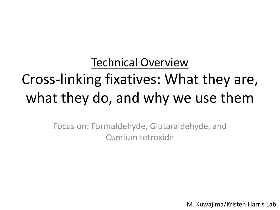# Technical Overview Cross-linking fixatives: What they are, what they do, and why we use them

Focus on: Formaldehyde, Glutaraldehyde, and Osmium tetroxide

M. Kuwajima/Kristen Harris Lab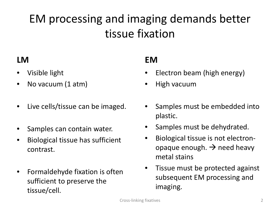# EM processing and imaging demands better tissue fixation

#### **LM**

- Visible light
- No vacuum (1 atm)
- Live cells/tissue can be imaged.
- Samples can contain water.
- Biological tissue has sufficient contrast.
- Formaldehyde fixation is often sufficient to preserve the tissue/cell.

#### **EM**

- Electron beam (high energy)
- High vacuum
- Samples must be embedded into plastic.
- Samples must be dehydrated.
- Biological tissue is not electronopaque enough.  $\rightarrow$  need heavy metal stains
- Tissue must be protected against subsequent EM processing and imaging.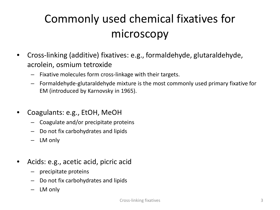# Commonly used chemical fixatives for microscopy

- Cross-linking (additive) fixatives: e.g., formaldehyde, glutaraldehyde, acrolein, osmium tetroxide
	- Fixative molecules form cross-linkage with their targets.
	- Formaldehyde-glutaraldehyde mixture is the most commonly used primary fixative for EM (introduced by Karnovsky in 1965).
- Coagulants: e.g., EtOH, MeOH
	- Coagulate and/or precipitate proteins
	- Do not fix carbohydrates and lipids
	- LM only
- Acids: e.g., acetic acid, picric acid
	- precipitate proteins
	- Do not fix carbohydrates and lipids
	- LM only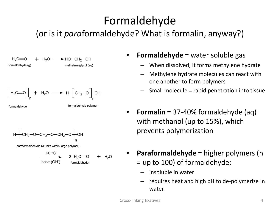# Formaldehyde

#### (or is it *para*formaldehyde? What is formalin, anyway?)



#### • **Formaldehyde** = water soluble gas

- When dissolved, it forms methylene hydrate
- Methylene hydrate molecules can react with one another to form polymers
- Small molecule = rapid penetration into tissue
- **Formalin** = 37-40% formaldehyde (aq) with methanol (up to 15%), which prevents polymerization
- **Paraformaldehyde** = higher polymers (n = up to 100) of formaldehyde;
	- insoluble in water
	- requires heat and high pH to de-polymerize in water.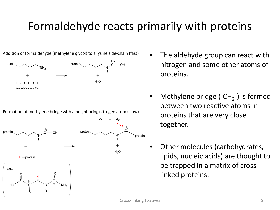### Formaldehyde reacts primarily with proteins



Formation of methylene bridge with a neighboring nitrogen atom (slow)



- The aldehyde group can react with nitrogen and some other atoms of proteins.
- Methylene bridge (-CH<sub>2</sub>-) is formed between two reactive atoms in proteins that are very close together.
- Other molecules (carbohydrates, lipids, nucleic acids) are thought to be trapped in a matrix of crosslinked proteins.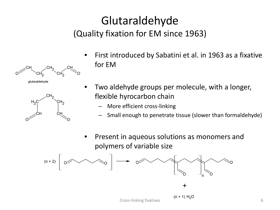### Glutaraldehyde (Quality fixation for EM since 1963)





- First introduced by Sabatini et al. in 1963 as a fixative for EM
- Two aldehyde groups per molecule, with a longer, flexible hyrocarbon chain
	- More efficient cross-linking
	- Small enough to penetrate tissue (slower than formaldehyde)
- Present in aqueous solutions as monomers and polymers of variable size

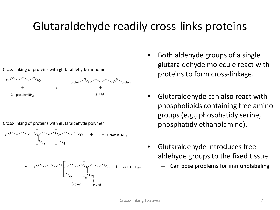### Glutaraldehyde readily cross-links proteins



- Both aldehyde groups of a single glutaraldehyde molecule react with proteins to form cross-linkage.
- Glutaraldehyde can also react with phospholipids containing free amino groups (e.g., phosphatidylserine, phosphatidylethanolamine).
- Glutaraldehyde introduces free aldehyde groups to the fixed tissue
	- Can pose problems for immunolabeling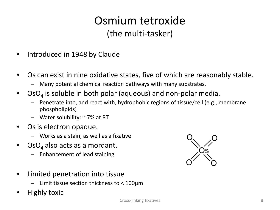#### Osmium tetroxide (the multi-tasker)

- Introduced in 1948 by Claude
- Os can exist in nine oxidative states, five of which are reasonably stable.
	- Many potential chemical reaction pathways with many substrates.
- $\text{OsO}_4$  is soluble in both polar (aqueous) and non-polar media.
	- Penetrate into, and react with, hydrophobic regions of tissue/cell (e.g., membrane phospholipids)
	- Water solubility: ~ 7% at RT
- Os is electron opaque.
	- Works as a stain, as well as a fixative
- $\text{OsO}_4$  also acts as a mordant.
	- Enhancement of lead staining



- Limit tissue section thickness to < 100µm
- Highly toxic

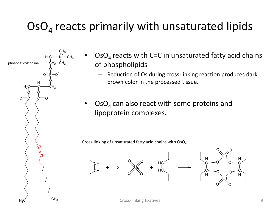## $\text{OsO}_4$  reacts primarily with unsaturated lipids



- $\text{OsO}_4$  reacts with C=C in unsaturated fatty acid chains of phospholipids
	- Reduction of Os during cross-linking reaction produces dark brown color in the processed tissue.
- $\text{OsO}_4$  can also react with some proteins and lipoprotein complexes.

Cross-linking of unsaturated fatty acid chains with  $OSO<sub>4</sub>$ 





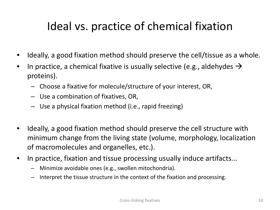### Ideal vs. practice of chemical fixation

- Ideally, a good fixation method should preserve the cell/tissue as a whole.
- In practice, a chemical fixative is usually selective (e.g., aldehydes  $\rightarrow$ proteins).
	- Choose a fixative for molecule/structure of your interest, OR,
	- Use a combination of fixatives, OR,
	- Use a physical fixation method (i.e., rapid freezing)
- Ideally, a good fixation method should preserve the cell structure with minimum change from the living state (volume, morphology, localization of macromolecules and organelles, etc.).
- In practice, fixation and tissue processing usually induce artifacts...
	- Minimize avoidable ones (e.g., swollen mitochondria).
	- Interpret the tissue structure in the context of the fixation and processing.